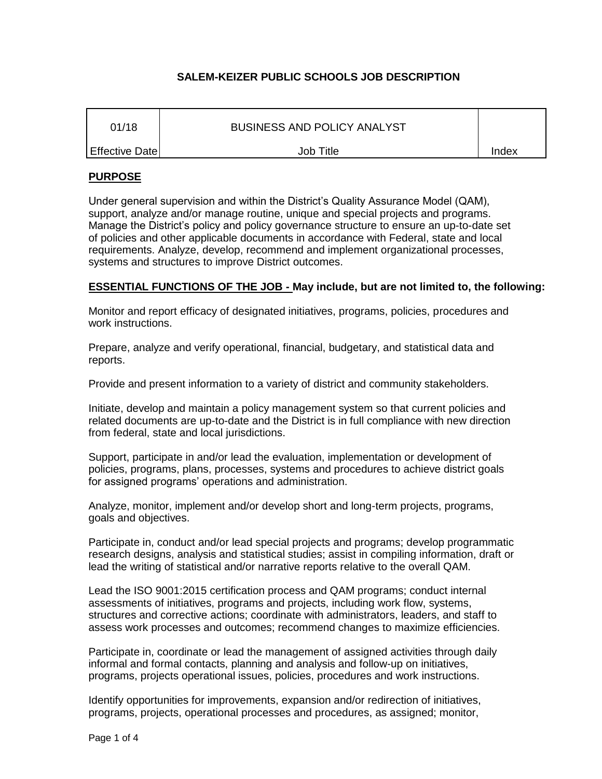# **SALEM-KEIZER PUBLIC SCHOOLS JOB DESCRIPTION**

| 01/18          | <b>BUSINESS AND POLICY ANALYST</b> |       |
|----------------|------------------------------------|-------|
| Effective Date | Job Title                          | Index |

# **PURPOSE**

Under general supervision and within the District's Quality Assurance Model (QAM), support, analyze and/or manage routine, unique and special projects and programs. Manage the District's policy and policy governance structure to ensure an up-to-date set of policies and other applicable documents in accordance with Federal, state and local requirements. Analyze, develop, recommend and implement organizational processes, systems and structures to improve District outcomes.

# **ESSENTIAL FUNCTIONS OF THE JOB - May include, but are not limited to, the following:**

Monitor and report efficacy of designated initiatives, programs, policies, procedures and work instructions.

Prepare, analyze and verify operational, financial, budgetary, and statistical data and reports.

Provide and present information to a variety of district and community stakeholders.

Initiate, develop and maintain a policy management system so that current policies and related documents are up-to-date and the District is in full compliance with new direction from federal, state and local jurisdictions.

Support, participate in and/or lead the evaluation, implementation or development of policies, programs, plans, processes, systems and procedures to achieve district goals for assigned programs' operations and administration.

Analyze, monitor, implement and/or develop short and long-term projects, programs, goals and objectives.

Participate in, conduct and/or lead special projects and programs; develop programmatic research designs, analysis and statistical studies; assist in compiling information, draft or lead the writing of statistical and/or narrative reports relative to the overall QAM.

Lead the ISO 9001:2015 certification process and QAM programs; conduct internal assessments of initiatives, programs and projects, including work flow, systems, structures and corrective actions; coordinate with administrators, leaders, and staff to assess work processes and outcomes; recommend changes to maximize efficiencies.

Participate in, coordinate or lead the management of assigned activities through daily informal and formal contacts, planning and analysis and follow-up on initiatives, programs, projects operational issues, policies, procedures and work instructions.

Identify opportunities for improvements, expansion and/or redirection of initiatives, programs, projects, operational processes and procedures, as assigned; monitor,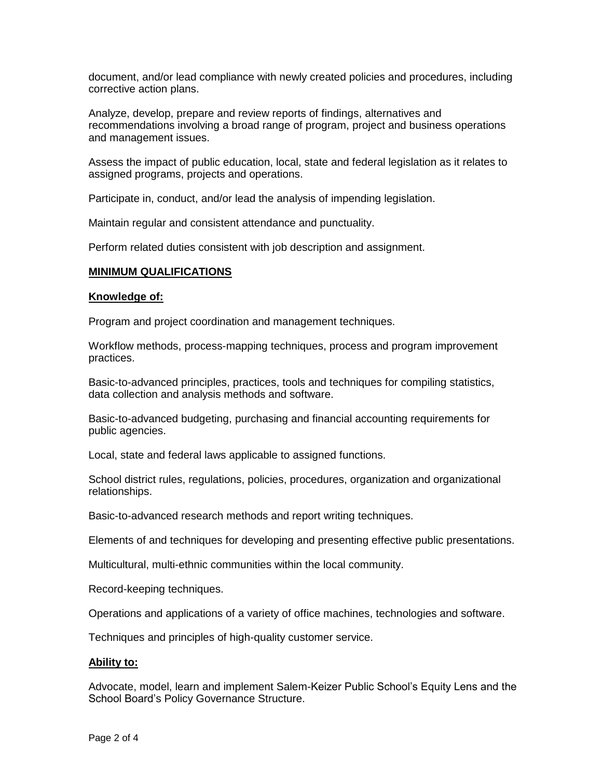document, and/or lead compliance with newly created policies and procedures, including corrective action plans.

Analyze, develop, prepare and review reports of findings, alternatives and recommendations involving a broad range of program, project and business operations and management issues.

Assess the impact of public education, local, state and federal legislation as it relates to assigned programs, projects and operations.

Participate in, conduct, and/or lead the analysis of impending legislation.

Maintain regular and consistent attendance and punctuality.

Perform related duties consistent with job description and assignment.

## **MINIMUM QUALIFICATIONS**

#### **Knowledge of:**

Program and project coordination and management techniques.

Workflow methods, process-mapping techniques, process and program improvement practices.

Basic-to-advanced principles, practices, tools and techniques for compiling statistics, data collection and analysis methods and software.

Basic-to-advanced budgeting, purchasing and financial accounting requirements for public agencies.

Local, state and federal laws applicable to assigned functions.

School district rules, regulations, policies, procedures, organization and organizational relationships.

Basic-to-advanced research methods and report writing techniques.

Elements of and techniques for developing and presenting effective public presentations.

Multicultural, multi-ethnic communities within the local community.

Record-keeping techniques.

Operations and applications of a variety of office machines, technologies and software.

Techniques and principles of high-quality customer service.

## **Ability to:**

Advocate, model, learn and implement Salem-Keizer Public School's Equity Lens and the School Board's Policy Governance Structure.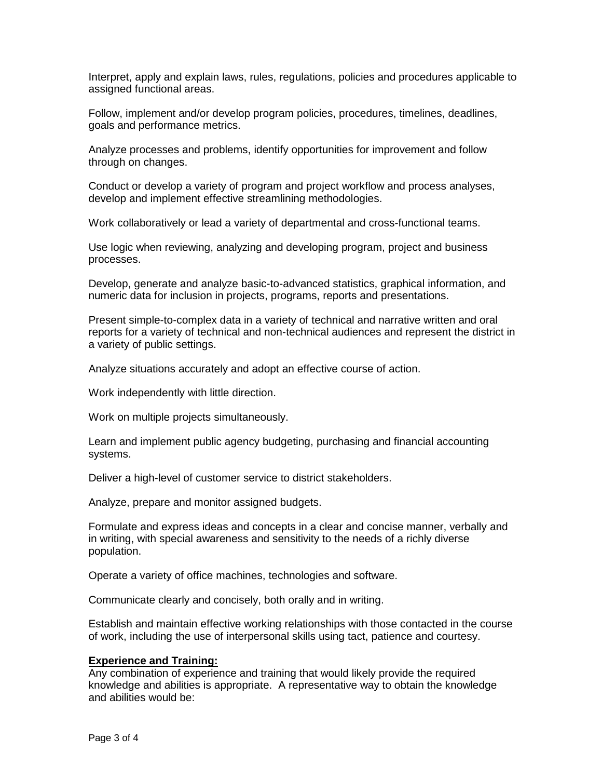Interpret, apply and explain laws, rules, regulations, policies and procedures applicable to assigned functional areas.

Follow, implement and/or develop program policies, procedures, timelines, deadlines, goals and performance metrics.

Analyze processes and problems, identify opportunities for improvement and follow through on changes.

Conduct or develop a variety of program and project workflow and process analyses, develop and implement effective streamlining methodologies.

Work collaboratively or lead a variety of departmental and cross-functional teams.

Use logic when reviewing, analyzing and developing program, project and business processes.

Develop, generate and analyze basic-to-advanced statistics, graphical information, and numeric data for inclusion in projects, programs, reports and presentations.

Present simple-to-complex data in a variety of technical and narrative written and oral reports for a variety of technical and non-technical audiences and represent the district in a variety of public settings.

Analyze situations accurately and adopt an effective course of action.

Work independently with little direction.

Work on multiple projects simultaneously.

Learn and implement public agency budgeting, purchasing and financial accounting systems.

Deliver a high-level of customer service to district stakeholders.

Analyze, prepare and monitor assigned budgets.

Formulate and express ideas and concepts in a clear and concise manner, verbally and in writing, with special awareness and sensitivity to the needs of a richly diverse population.

Operate a variety of office machines, technologies and software.

Communicate clearly and concisely, both orally and in writing.

Establish and maintain effective working relationships with those contacted in the course of work, including the use of interpersonal skills using tact, patience and courtesy.

## **Experience and Training:**

Any combination of experience and training that would likely provide the required knowledge and abilities is appropriate. A representative way to obtain the knowledge and abilities would be: